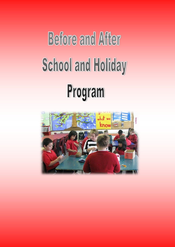# **Before and After School and Holiday** Program

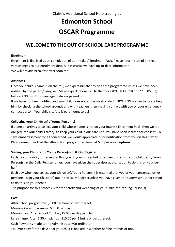# **Edmonton School OSCAR Programme**

# **WELCOME TO THE OUT OF SCHOOL CARE PROGRAMME**

# **Enrolment**

Enrolment is finalised upon completion of our Intake / Enrolment Pack. Please inform staff of any relevant changes to our enrolment details. It is crucial we have up-to-date information. We will provide breakfast afternoon tea.

# **Absences**

Once your child's name is on the roll, we expect him/her to be at the programme unless we have been notified by the parent/caregiver. Make a quick phone call to the office (09 – 8389318 or 027 5505197) before 2.30 pm. Your message is always passed on.

If we have not been notified and your child does not arrive we shall do EVERYTHING we can to locate her/ him, by checking the school grounds and with teachers then making contact with you or your emergency contact person. Your child's safety is paramount to us!

# **Collecting your Child(ren) / Young Person(s)**

If a person arrives to collect your child whose name is not on your Intake / Enrolment Pack, then we are obliged (for your child's safety) to keep your child in our care until you have been located for consent. To save embarrassment for all concerned, we would appreciate prior notification from you on this matter. Please remember that the after school programme closes at **5.30pm no exceptions**.

# **Signing your Child(ren)** *I* **Young Person(s) In & Out Register**

Each day on arrival, it is essential that you or your consented other person(s), sign your Child(ren) / Young Person(s) in the Daily Register unless you have given the supervisor authorisation to do this on your behalf.

Each day when you collect your Child(ren)*I*Young Person, it is essential that you or your consented other person(s), sign your Child(ren) out in the Daily Registerunless you have given the supervisor authorisation to do this on your behalf.

The purpose for this process is for the safety and wellbeing of your Child(ren)/Young Person(s).

# **Cost**

After school programme: \$5.00 per hour or part thereof

Morning Care programme: \$ 5.00 per day.

Morning and After School Combo \$15.00 per day per child

Late charge (After 5.30pm pick up) \$10.00 per 15mins or part thereof.

Cash Payments made to the Administrator/Co-ordinator.

You **must** pay for the days that your child is booked in whether he/she attends or not.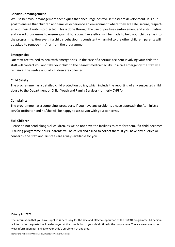# **Behaviour management**

We use behaviour management techniques that encourage positive self-esteem development. It is our goal to ensure that children and families experience an environment where they are safe, secure, respected and their dignity is protected. This is done through the use of positive reinforcement and a stimulating and varied programme to ensure against boredom. Every effort will be made to help your child settle into the programme. However, if a child's behaviour is consistently harmful to the other children, parents will be asked to remove him/her from the programme

# **Emergencies**

Our staff are trained to deal with emergencies. In the case of a serious accident involving your child the staff will contact you and take your child to the nearest medical facility. In a civil emergency the staff will remain at the centre until all children are collected.

# **Child Safety**

The programme has a detailed child protection policy, which include the reporting of any suspected child abuse to the Department of Child, Youth and Family Services (formerly CYPFA)

# **Complaints**

The programme has a complaints procedure. If you have any problems please approach the Administrator/Co-ordinator and he/she will be happy to assist you with your concerns.

# **Sick Children**

Please do not send along sick children, as we do not have the facilities to care for them. If a child becomes ill during programme hours, parents will be called and asked to collect them. If you have any queries or concerns, the Staff and Trustees are always available for you.

### **Privacy Act 2020:**

The information that you have supplied is necessary for the safe and effective operation of the OSCAR programme. All personal information requested will be destroyed at the completion of your child's time in the programme. You are welcome to review information pertaining to your child's enrolment at any time.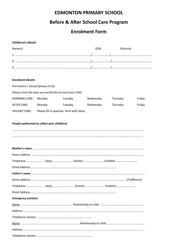# **EDMONTON PRIMARY SCHOOL**

# **Before & After School Care Program**

# **Enrolment Form**

# Child(ren)'s details

| Name(s) | <b>DOB</b> | Ethnicity |
|---------|------------|-----------|
|         |            |           |
|         |            |           |
|         |            |           |

# **Enrolment details**

Permanent / Casual (please circle) Please circle the days you would like to enrol your child **MORNING CARE:** Monday Tuesday Thursday Wednesday Friday **AFTER CARE:** Monday Tuesday Wednesday Thursday Friday **HOLIDAY CARE:** Please fill in separate form with dates.

# People authorised to collect your child(ren)

| <b>Emergency contacts</b> |  |
|---------------------------|--|
|                           |  |
|                           |  |
|                           |  |
|                           |  |
|                           |  |
|                           |  |